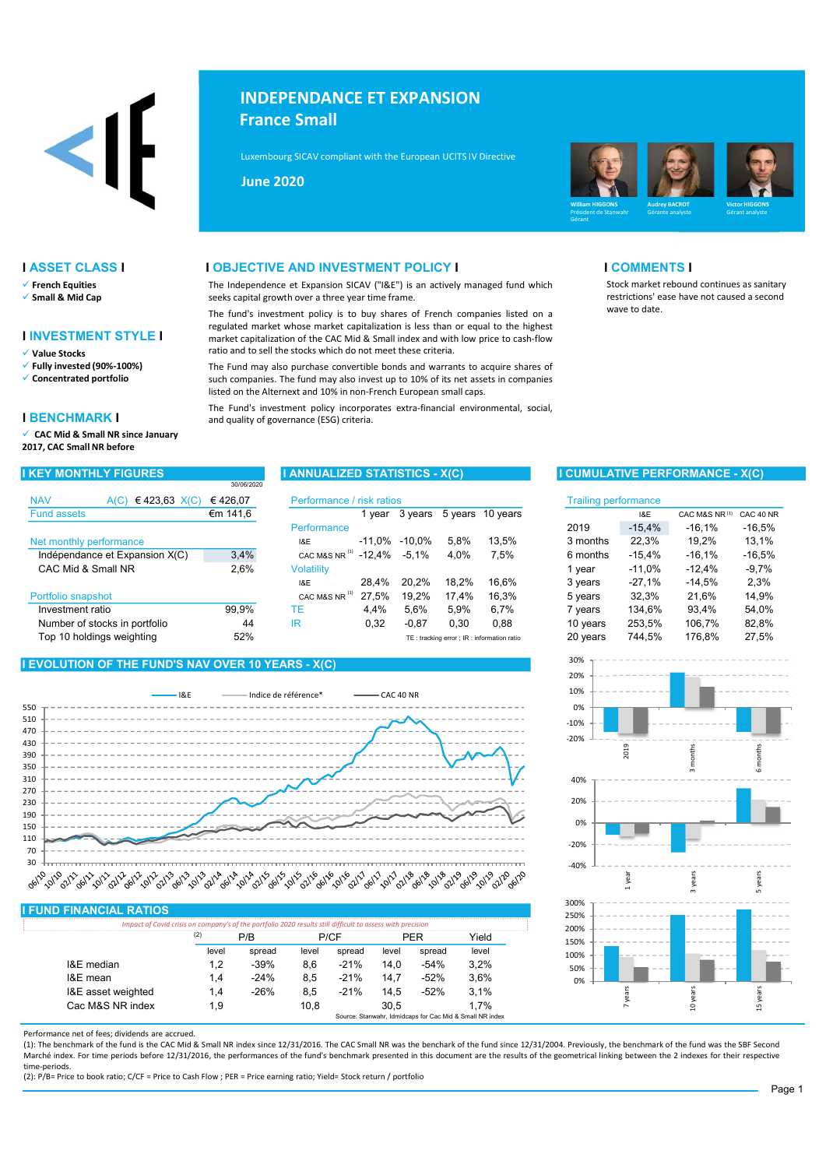# <1

- 
- 

# I INVESTMENT STYLE I

- 
- 
- 

# I BENCHMARK I

 $\checkmark$  CAC Mid & Small NR since January 2017, CAC Small NR before

# INDEPENDANCE ET EXPANSION France Small

Luxembourg SICAV compliant with the European UCITS IV Directive (2009/65/EC) and the European UCITS IV Directive



Morningstar Rating (10 years)

restrictions' ease have not caused a second

# **I ASSET CLASS I COMMENTS I OBJECTIVE AND INVESTMENT POLICY I COMMENTS I** COMMENTS I

 $\checkmark$  French Equities example in the Independence et Expansion SICAV ("I&E") is an actively managed fund which ✔ Small & Mid Cap seeks capital growth over a three year time frame.

 $\checkmark$  Value Stocks (90%-100%) ratio and to sell the stocks which do not meet these criteria.<br> $\checkmark$  Fully invested (90%-100%) The Fund may also purchase convertible bonds and warrar

 $\sqrt{\ }$  Fully invested (90%-100%) The Fund may also purchase convertible bonds and warrants to acquire shares of  $\sqrt{\ }$  Concentrated portfolio strated in the Such companies. The fund may also invest up to 10% of its net as such companies. The fund may also invest up to 10% of its net assets in companies

# NAV A(C) €423,63 X(C) €426,07 Performance / risk ratios Trailing performance Fund assets Performance Net monthly performance<br>
Net monthly performance<br>
Indépendence et Expansion X(C) 3.4% CACMAS NP<sup>(1)</sup> -12.4% -5.1% 4.0% 7.5% Indépendance et Expansion  $X(C)$  3,4% cac mas nR<sup>(a)</sup> -12,4% -5,1% 4,0% 7,5%<br>CAC Mid & Small NR 2.6% Volatility CAC Mid & Small NR 2.6% Volatility I&E 28,4% 20,2% 18,2% 16,6% 3 years Portfolio snapshot **CAC MAS NR** <sup>(1)</sup> 27,5% 19,2% 17,4% 16,3% Investment ratio **99,9%** TE 4,4% 5,6% 5,9% 6,7% Number of stocks in portfolio  $\begin{array}{ccc} 44 & \text{IR} & 0.32 & -0.87 & 0.30 & 0.88 \end{array}$ Top 10 holdings weighting Text of the S2% TE: tracking error ; IR: information ration ration ration ration ration ration ration ration ration ration ration ration ration ration ration ration ration ration ration ration rat €m 141,6 1 year 3 years 5 years 10 years I&E CAC M&S NR CAC 40 NR 30/06/2020  $3,4\%$  CAC M&S NR<sup>(1)</sup> -12,4% -5,1% 4,0% 7,5% 6 months -15,4% -16,1% -16,5%  $-11.0\% -10.0\%$ 2,6% Volatility **1** vear -11,0% -12,4% -9,7% 28,4% 20,2% 18,2% 16,6% 3 years -27,1% -14,5% 44 0,32 -0,87 0,30 0,88 253,5% 106,7% 82,8% 99,9% TE 4,4% 5,6% 5,9% 6,7% 7 years 134,6% 52% 20 years 744,5% 176,8% 27,5% CAC M&S NR $^{(1)}$ CAC M&S NR $^{\left(1\right)}$

# I EVOLUTION OF THE FUND'S NAV OVER 10 YEARS - X(C)



# I FUND FINANCIAL RATIOS

|                    | (2)<br>P/R |        | P/CF  |        |       |        | Yield |
|--------------------|------------|--------|-------|--------|-------|--------|-------|
|                    | level      | spread | level | spread | level | spread | level |
| I&F median         | 1.2        | $-39%$ | 8.6   | $-21%$ | 14.0  | $-54%$ | 3.2%  |
| I&E mean           | 1.4        | $-24%$ | 8.5   | $-21%$ | 14.7  | $-52%$ | 3.6%  |
| I&E asset weighted | 1.4        | $-26%$ | 8.5   | $-21%$ | 14.5  | -52%   | 3.1%  |
| Cac M&S NR index   | 1.9        |        | 10.8  |        | 30.5  |        | 1.7%  |

Performance net of fees; dividends are accrued.

(1): The benchmark of the fund is the CAC Mid & Small NR index since 12/31/2016. The CAC Small NR was the benchark of the fund since 12/31/2004. Previously, the benchmark of the fund was the SBF Second Marché index. For time periods before 12/31/2016, the performances of the fund's benchmark presented in this document are the results of the geometrical linking between the 2 indexes for their respective time-periods.

(2): P/B= Price to book ratio; C/CF = Price to Cash Flow ; PER = Price earning ratio; Yield= Stock return / portfolio

# I KEY MONTHLY FIGURES IN ANNUALIZED STATISTICS - X(C) I CUMULATIVE PERFORMANCE - X(C)

wave to date.

| isk ratios |           |       |                                                |          | <b>Trailing performance</b> |               |           |
|------------|-----------|-------|------------------------------------------------|----------|-----------------------------|---------------|-----------|
| 1 year     | 3 years   |       | 5 years 10 years                               | 18E      |                             | CAC M&S NR(1) | CAC 40 NR |
|            |           |       |                                                | 2019     | $-15,4%$                    | $-16.1%$      | $-16,5%$  |
| -11.0%     | $-10.0\%$ | 5.8%  | 13.5%                                          | 3 months | 22,3%                       | 19.2%         | 13,1%     |
| -12,4%     | $-5.1\%$  | 4.0%  | 7.5%                                           | 6 months | $-15,4%$                    | $-16,1%$      | $-16,5%$  |
|            |           |       |                                                | 1 year   | $-11.0%$                    | $-12.4%$      | $-9.7%$   |
| 28,4%      | 20.2%     | 18.2% | 16.6%                                          | 3 years  | $-27.1%$                    | $-14.5%$      | 2,3%      |
| 27,5%      | 19,2%     | 17,4% | 16,3%                                          | 5 years  | 32,3%                       | 21.6%         | 14,9%     |
| 4.4%       | 5,6%      | 5,9%  | 6,7%                                           | 7 years  | 134,6%                      | 93.4%         | 54,0%     |
| 0,32       | $-0.87$   | 0.30  | 0,88                                           | 10 years | 253.5%                      | 106,7%        | 82,8%     |
|            |           |       | $TF:$ tracking error : IR : information ratio. | 20 years | 744 5%                      | 176.8%        | 27.5%     |